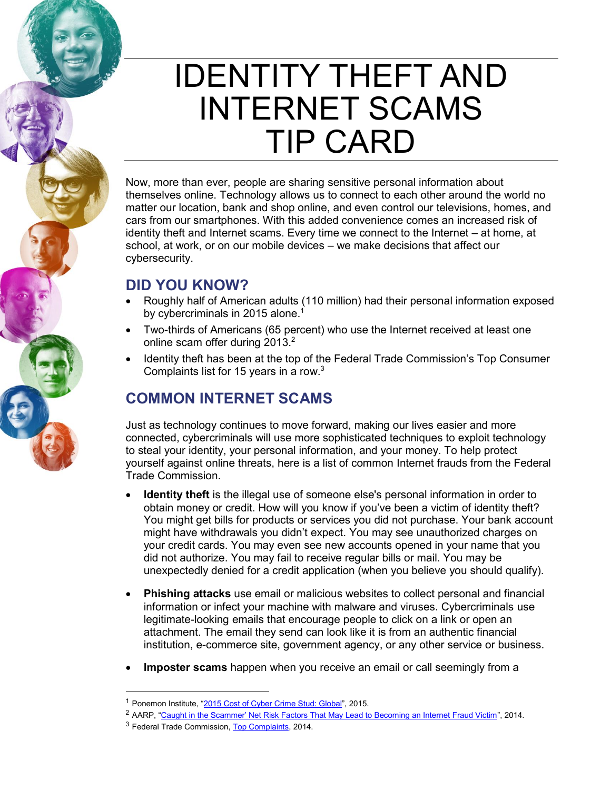# IDENTITY THEFT AND INTERNET SCAMS TIP CARD

Now, more than ever, people are sharing sensitive personal information about themselves online. Technology allows us to connect to each other around the world no matter our location, bank and shop online, and even control our televisions, homes, and cars from our smartphones. With this added convenience comes an increased risk of identity theft and Internet scams. Every time we connect to the Internet – at home, at school, at work, or on our mobile devices – we make decisions that affect our cybersecurity.

## **DID YOU KNOW?**

- Roughly half of American adults (110 million) had their personal information exposed by cybercriminals in 2015 alone.<sup>1</sup>
- Two-thirds of Americans (65 percent) who use the Internet received at least one online scam offer during 2013.<sup>2</sup>
- Identity theft has been at the top of the Federal Trade Commission's Top Consumer Complaints list for 15 years in a row.3

## **COMMON INTERNET SCAMS**

Just as technology continues to move forward, making our lives easier and more connected, cybercriminals will use more sophisticated techniques to exploit technology to steal your identity, your personal information, and your money. To help protect yourself against online threats, here is a list of common Internet frauds from the Federal Trade Commission.

- **Identity theft** is the illegal use of someone else's personal information in order to obtain money or credit. How will you know if you've been a victim of identity theft? You might get bills for products or services you did not purchase. Your bank account might have withdrawals you didn't expect. You may see unauthorized charges on your credit cards. You may even see new accounts opened in your name that you did not authorize. You may fail to receive regular bills or mail. You may be unexpectedly denied for a credit application (when you believe you should qualify).
- **Phishing attacks** use email or malicious websites to collect personal and financial information or infect your machine with malware and viruses. Cybercriminals use legitimate-looking emails that encourage people to click on a link or open an attachment. The email they send can look like it is from an authentic financial institution, e-commerce site, government agency, or any other service or business.
- Imposter scams happen when you receive an email or call seemingly from a

<sup>2</sup> AARP, ["Caught in the Scammer' Net Risk Factors That May Lead to Becoming an Internet Fraud Victim"](http://www.aarp.org/content/dam/aarp/research/surveys_statistics/econ/2014/Caught-In-The-Scammer%E2%80%99s-Net-Risk-Factors-That-May-Lead-to-Becoming-an-Internet-Fraud-Victim-AARP-Survey%20-of-American-Adults-Age-18-and-Older-AARP-res-econ.pdf), 2014.

<sup>&</sup>lt;sup>1</sup> Ponemon Institute, "[2015 Cost of Cyber Crime Stud: Global](https://ssl.www8.hp.com/ww/en/secure/pdf/4aa5-5207enw.pdf)", 2015.

<sup>3</sup> Federal Trade Commission[, Top Complaints,](https://www.consumer.ftc.gov/blog/consumers-told-it-ftc-top-10-complaints-2014) 2014.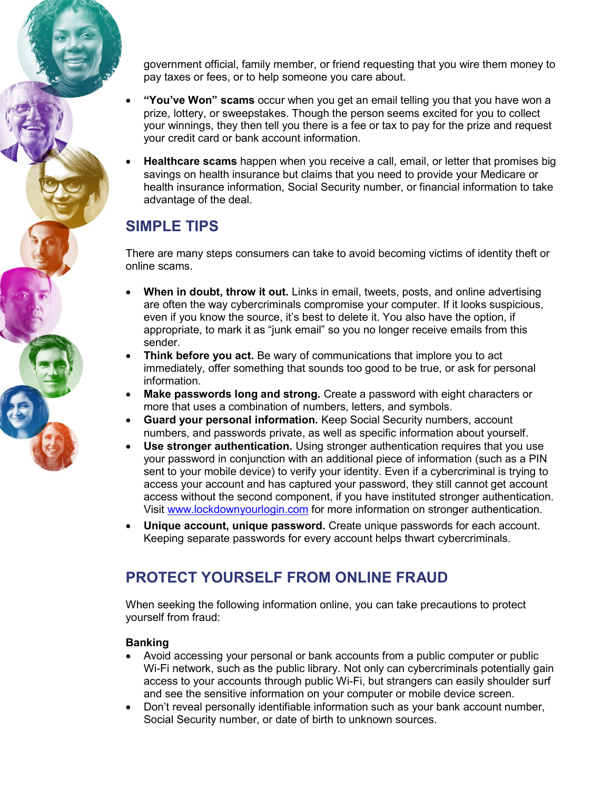government official, family member, or friend requesting that you wire them money to pay taxes or fees, or to help someone you care about.

- x **"You've Won" scams** occur when you get an email telling you that you have won a prize, lottery, or sweepstakes. Though the person seems excited for you to collect your winnings, they then tell you there is a fee or tax to pay for the prize and request your credit card or bank account information.
- **Healthcare scams** happen when you receive a call, email, or letter that promises big savings on health insurance but claims that you need to provide your Medicare or health insurance information, Social Security number, or financial information to take advantage of the deal.

# **SIMPLE TIPS**

There are many steps consumers can take to avoid becoming victims of identity theft or online scams.

- x **When in doubt, throw it out.** Links in email, tweets, posts, and online advertising are often the way cybercriminals compromise your computer. If it looks suspicious, even if you know the source, it's best to delete it. You also have the option, if appropriate, to mark it as "junk email" so you no longer receive emails from this sender.
- **Think before you act.** Be wary of communications that implore you to act immediately, offer something that sounds too good to be true, or ask for personal information.
- **Make passwords long and strong.** Create a password with eight characters or more that uses a combination of numbers, letters, and symbols.
- **Guard your personal information.** Keep Social Security numbers, account numbers, and passwords private, as well as specific information about yourself.
- **Use stronger authentication.** Using stronger authentication requires that you use your password in conjunction with an additional piece of information (such as a PIN sent to your mobile device) to verify your identity. Even if a cybercriminal is trying to access your account and has captured your password, they still cannot get account access without the second component, if you have instituted stronger authentication. Visit [www.lockdownyourlogin.com](http://www.lockdownyourlogin.com/) for more information on stronger authentication.
- **Unique account, unique password.** Create unique passwords for each account. Keeping separate passwords for every account helps thwart cybercriminals.

# **PROTECT YOURSELF FROM ONLINE FRAUD**

When seeking the following information online, you can take precautions to protect yourself from fraud:

### **Banking**

- Avoid accessing your personal or bank accounts from a public computer or public Wi-Fi network, such as the public library. Not only can cybercriminals potentially gain access to your accounts through public Wi-Fi, but strangers can easily shoulder surf and see the sensitive information on your computer or mobile device screen.
- Don't reveal personally identifiable information such as your bank account number, Social Security number, or date of birth to unknown sources.